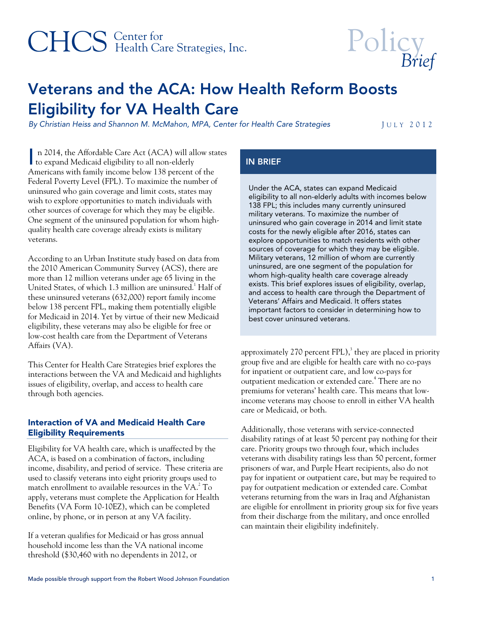# CHCS Center for<br>
Health Care Strategies, Inc.



# Veterans and the ACA: How Health Reform Boosts Eligibility for VA Health Care

By Christian Heiss and Shannon M. McMahon, MPA, Center for Health Care Strategies JULY 2012

 n 2014, the Affordable Care Act (ACA) will allow states In 2014, the Affordable Care Act (ACA) will all to expand Medicaid eligibility to all non-elderly Americans with family income below 138 percent of the Federal Poverty Level (FPL). To maximize the number of uninsured who gain coverage and limit costs, states may wish to explore opportunities to match individuals with other sources of coverage for which they may be eligible. One segment of the uninsured population for whom highquality health care coverage already exists is military veterans.

According to an Urban Institute study based on data from the 2010 American Community Survey (ACS), there are more than 12 million veterans under age 65 living in the United States, of which 1.3 million are uninsured.<sup>1</sup> Half of these uninsured veterans (632,000) report family income below 138 percent FPL, making them potentially eligible for Medicaid in 2014. Yet by virtue of their new Medicaid eligibility, these veterans may also be eligible for free or low-cost health care from the Department of Veterans Affairs (VA).

This Center for Health Care Strategies brief explores the interactions between the VA and Medicaid and highlights issues of eligibility, overlap, and access to health care through both agencies.

# Interaction of VA and Medicaid Health Care Eligibility Requirements

Eligibility for VA health care, which is unaffected by the ACA, is based on a combination of factors, including income, disability, and period of service. These criteria are used to classify veterans into eight priority groups used to match enrollment to available resources in the VA. $^2$  To apply, veterans must complete the Application for Health Benefits (VA Form 10-10EZ), which can be completed online, by phone, or in person at any VA facility.

If a veteran qualifies for Medicaid or has gross annual household income less than the VA national income threshold (\$30,460 with no dependents in 2012, or

# IN BRIEF

Under the ACA, states can expand Medicaid eligibility to all non-elderly adults with incomes below 138 FPL; this includes many currently uninsured military veterans. To maximize the number of uninsured who gain coverage in 2014 and limit state costs for the newly eligible after 2016, states can explore opportunities to match residents with other sources of coverage for which they may be eligible. Military veterans, 12 million of whom are currently uninsured, are one segment of the population for whom high-quality health care coverage already exists. This brief explores issues of eligibility, overlap, and access to health care through the Department of Veterans' Affairs and Medicaid. It offers states important factors to consider in determining how to best cover uninsured veterans.

approximately 270 percent FPL), $3$  they are placed in priority group five and are eligible for health care with no co-pays for inpatient or outpatient care, and low co-pays for outpatient medication or extended care.<sup>4</sup> There are no premiums for veterans' health care. This means that lowincome veterans may choose to enroll in either VA health care or Medicaid, or both.

Additionally, those veterans with service-connected disability ratings of at least 50 percent pay nothing for their care. Priority groups two through four, which includes veterans with disability ratings less than 50 percent, former prisoners of war, and Purple Heart recipients, also do not pay for inpatient or outpatient care, but may be required to pay for outpatient medication or extended care. Combat veterans returning from the wars in Iraq and Afghanistan are eligible for enrollment in priority group six for five years from their discharge from the military, and once enrolled can maintain their eligibility indefinitely.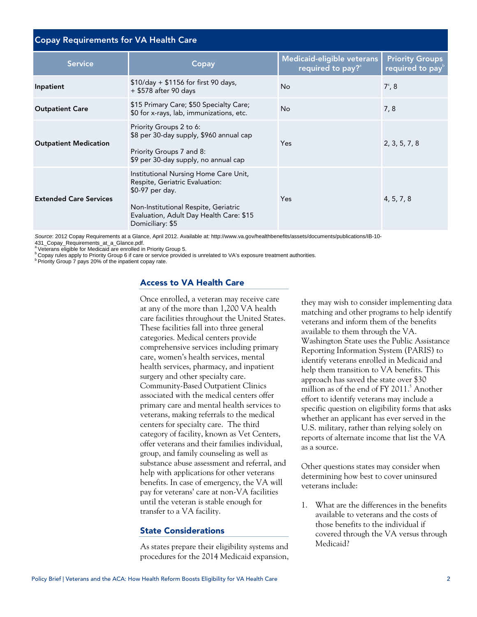| <b>Copay Requirements for VA Health Care</b> |                                                                                                                                                                                                   |                                                             |                                                        |
|----------------------------------------------|---------------------------------------------------------------------------------------------------------------------------------------------------------------------------------------------------|-------------------------------------------------------------|--------------------------------------------------------|
| <b>Service</b>                               | Copay                                                                                                                                                                                             | Medicaid-eligible veterans<br>required to pay? <sup>a</sup> | <b>Priority Groups</b><br>required to pay <sup>b</sup> |
| Inpatient                                    | \$10/day + \$1156 for first 90 days,<br>+ \$578 after 90 days                                                                                                                                     | <b>No</b>                                                   | $7^\circ, 8$                                           |
| <b>Outpatient Care</b>                       | \$15 Primary Care; \$50 Specialty Care;<br>\$0 for x-rays, lab, immunizations, etc.                                                                                                               | <b>No</b>                                                   | 7,8                                                    |
| <b>Outpatient Medication</b>                 | Priority Groups 2 to 6:<br>\$8 per 30-day supply, \$960 annual cap<br>Priority Groups 7 and 8:<br>\$9 per 30-day supply, no annual cap                                                            | Yes                                                         | 2, 3, 5, 7, 8                                          |
| <b>Extended Care Services</b>                | Institutional Nursing Home Care Unit,<br>Respite, Geriatric Evaluation:<br>\$0-97 per day.<br>Non-Institutional Respite, Geriatric<br>Evaluation, Adult Day Health Care: \$15<br>Domiciliary: \$5 | Yes                                                         | 4, 5, 7, 8                                             |

Source: 2012 Copay Requirements at a Glance, April 2012. Available at: http://www.va.gov/healthbenefits/assets/documents/publications/IB-10-<br>431\_Copay\_Requirements\_at\_a\_Glance.pdf.

<sup>a</sup> Veterans eligible for Medicaid are enrolled in Priority Group 5.

 $^{\rm b}$  Copay rules apply to Priority Group 6 if care or service provided is unrelated to VA's exposure treatment authorities.<br><sup>b</sup> Priority Group 7 pays 20% of the inpatient copay rate.

## Access to VA Health Care

Once enrolled, a veteran may receive care at any of the more than 1,200 VA health care facilities throughout the United States. These facilities fall into three general categories. Medical centers provide comprehensive services including primary care, women's health services, mental health services, pharmacy, and inpatient surgery and other specialty care. Community-Based Outpatient Clinics associated with the medical centers offer primary care and mental health services to veterans, making referrals to the medical centers for specialty care. The third category of facility, known as Vet Centers, offer veterans and their families individual, group, and family counseling as well as substance abuse assessment and referral, and help with applications for other veterans benefits. In case of emergency, the VA will pay for veterans' care at non-VA facilities until the veteran is stable enough for transfer to a VA facility.

#### State Considerations

As states prepare their eligibility systems and procedures for the 2014 Medicaid expansion,

they may wish to consider implementing data matching and other programs to help identify veterans and inform them of the benefits available to them through the VA. Washington State uses the Public Assistance Reporting Information System (PARIS) to identify veterans enrolled in Medicaid and help them transition to VA benefits. This approach has saved the state over \$30 million as of the end of FY 2011.<sup>5</sup> Another effort to identify veterans may include a specific question on eligibility forms that asks whether an applicant has ever served in the U.S. military, rather than relying solely on reports of alternate income that list the VA as a source.

Other questions states may consider when determining how best to cover uninsured veterans include:

1. What are the differences in the benefits available to veterans and the costs of those benefits to the individual if covered through the VA versus through Medicaid?